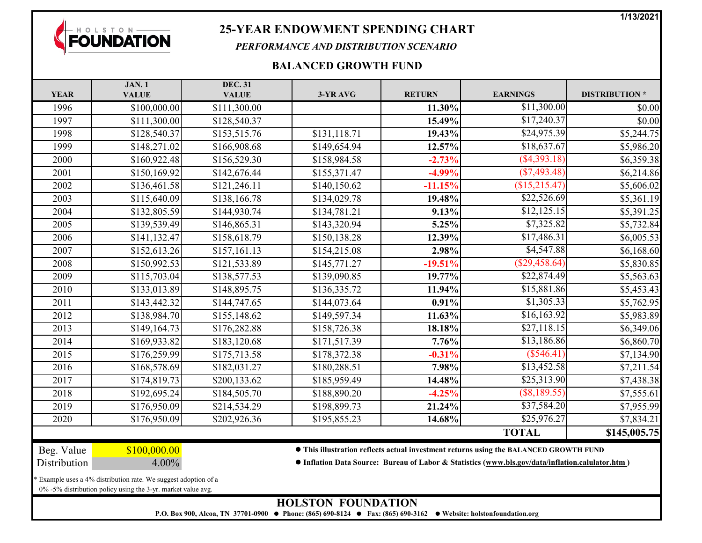**1/13/2021**



## **25-YEAR ENDOWMENT SPENDING CHART**

*PERFORMANCE AND DISTRIBUTION SCENARIO*

## **BALANCED GROWTH FUND**

|                                                               | <b>JAN.1</b>                                                 | <b>DEC. 31</b> |                                                                                                  |               |                 |                      |  |  |  |  |
|---------------------------------------------------------------|--------------------------------------------------------------|----------------|--------------------------------------------------------------------------------------------------|---------------|-----------------|----------------------|--|--|--|--|
| <b>YEAR</b>                                                   | <b>VALUE</b>                                                 | <b>VALUE</b>   | 3-YR AVG                                                                                         | <b>RETURN</b> | <b>EARNINGS</b> | <b>DISTRIBUTION*</b> |  |  |  |  |
| 1996                                                          | \$100,000.00                                                 | \$111,300.00   |                                                                                                  | 11.30%        | \$11,300.00     | \$0.00               |  |  |  |  |
| 1997                                                          | \$111,300.00                                                 | \$128,540.37   |                                                                                                  | 15.49%        | \$17,240.37     | \$0.00               |  |  |  |  |
| 1998                                                          | \$128,540.37                                                 | \$153,515.76   | \$131,118.71                                                                                     | 19.43%        | \$24,975.39     | \$5,244.75           |  |  |  |  |
| 1999                                                          | \$148,271.02                                                 | \$166,908.68   | \$149,654.94                                                                                     | 12.57%        | \$18,637.67     | \$5,986.20           |  |  |  |  |
| 2000                                                          | \$160,922.48                                                 | \$156,529.30   | \$158,984.58                                                                                     | $-2.73%$      | $($ \$4,393.18) | \$6,359.38           |  |  |  |  |
| 2001                                                          | \$150,169.92                                                 | \$142,676.44   | \$155,371.47                                                                                     | $-4.99\%$     | (S7, 493.48)    | \$6,214.86           |  |  |  |  |
| 2002                                                          | \$136,461.58                                                 | \$121,246.11   | \$140,150.62                                                                                     | $-11.15%$     | \$15,215.47     | \$5,606.02           |  |  |  |  |
| 2003                                                          | \$115,640.09                                                 | \$138,166.78   | \$134,029.78                                                                                     | 19.48%        | \$22,526.69     | \$5,361.19           |  |  |  |  |
| 2004                                                          | \$132,805.59                                                 | \$144,930.74   | \$134,781.21                                                                                     | 9.13%         | \$12,125.15     | \$5,391.25           |  |  |  |  |
| 2005                                                          | \$139,539.49                                                 | \$146,865.31   | \$143,320.94                                                                                     | 5.25%         | \$7,325.82      | \$5,732.84           |  |  |  |  |
| 2006                                                          | \$141,132.47                                                 | \$158,618.79   | \$150,138.28                                                                                     | 12.39%        | \$17,486.31     | \$6,005.53           |  |  |  |  |
| 2007                                                          | \$152,613.26                                                 | \$157,161.13   | \$154,215.08                                                                                     | 2.98%         | \$4,547.88      | \$6,168.60           |  |  |  |  |
| 2008                                                          | \$150,992.53                                                 | \$121,533.89   | \$145,771.27                                                                                     | $-19.51%$     | (S29, 458.64)   | \$5,830.85           |  |  |  |  |
| 2009                                                          | \$115,703.04                                                 | \$138,577.53   | \$139,090.85                                                                                     | 19.77%        | \$22,874.49     | \$5,563.63           |  |  |  |  |
| 2010                                                          | \$133,013.89                                                 | \$148,895.75   | \$136,335.72                                                                                     | 11.94%        | \$15,881.86     | \$5,453.43           |  |  |  |  |
| 2011                                                          | \$143,442.32                                                 | \$144,747.65   | \$144,073.64                                                                                     | 0.91%         | \$1,305.33      | \$5,762.95           |  |  |  |  |
| 2012                                                          | \$138,984.70                                                 | \$155,148.62   | \$149,597.34                                                                                     | 11.63%        | \$16,163.92     | \$5,983.89           |  |  |  |  |
| 2013                                                          | \$149,164.73                                                 | \$176,282.88   | \$158,726.38                                                                                     | 18.18%        | \$27,118.15     | \$6,349.06           |  |  |  |  |
| 2014                                                          | \$169,933.82                                                 | \$183,120.68   | \$171,517.39                                                                                     | 7.76%         | \$13,186.86     | \$6,860.70           |  |  |  |  |
| 2015                                                          | \$176,259.99                                                 | \$175,713.58   | \$178,372.38                                                                                     | $-0.31%$      | (S546.41)       | \$7,134.90           |  |  |  |  |
| 2016                                                          | \$168,578.69                                                 | \$182,031.27   | \$180,288.51                                                                                     | 7.98%         | \$13,452.58     | \$7,211.54           |  |  |  |  |
| 2017                                                          | \$174,819.73                                                 | \$200,133.62   | \$185,959.49                                                                                     | 14.48%        | \$25,313.90     | \$7,438.38           |  |  |  |  |
| 2018                                                          | \$192,695.24                                                 | \$184,505.70   | \$188,890.20                                                                                     | $-4.25%$      | $($ \$8,189.55) | \$7,555.61           |  |  |  |  |
| 2019                                                          | \$176,950.09                                                 | \$214,534.29   | \$198,899.73                                                                                     | 21.24%        | \$37,584.20     | \$7,955.99           |  |  |  |  |
| 2020                                                          | \$176,950.09                                                 | \$202,926.36   | \$195,855.23                                                                                     | 14.68%        | \$25,976.27     | \$7,834.21           |  |  |  |  |
|                                                               |                                                              |                |                                                                                                  |               | <b>TOTAL</b>    | \$145,005.75         |  |  |  |  |
| Beg. Value                                                    | \$100,000.00                                                 |                | • This illustration reflects actual investment returns using the BALANCED GROWTH FUND            |               |                 |                      |  |  |  |  |
| Distribution                                                  | 4.00%                                                        |                | • Inflation Data Source: Bureau of Labor & Statistics (www.bls.gov/data/inflation.calulator.htm) |               |                 |                      |  |  |  |  |
| Example uses a 4% distribution rate. We suggest adoption of a |                                                              |                |                                                                                                  |               |                 |                      |  |  |  |  |
|                                                               | 0% -5% distribution policy using the 3-yr. market value avg. |                |                                                                                                  |               |                 |                      |  |  |  |  |
| <b>HOLSTON FOUNDATION</b>                                     |                                                              |                |                                                                                                  |               |                 |                      |  |  |  |  |

**P.O. Box 900, Alcoa, TN 37701-0900 Phone: (865) 690-8124 Fax: (865) 690-3162 Website: holstonfoundation.org**